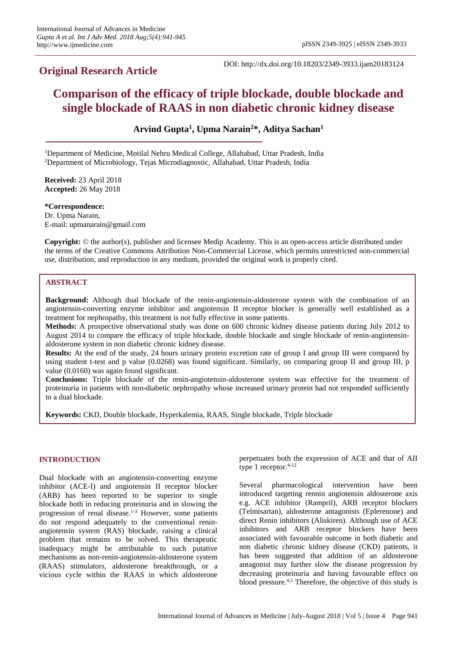# **Original Research Article**

DOI: http://dx.doi.org/10.18203/2349-3933.ijam20183124

# **Comparison of the efficacy of triple blockade, double blockade and single blockade of RAAS in non diabetic chronic kidney disease**

**Arvind Gupta<sup>1</sup> , Upma Narain<sup>2</sup>\*, Aditya Sachan<sup>1</sup>**

<sup>1</sup>Department of Medicine, Motilal Nehru Medical College, Allahabad, Uttar Pradesh, India <sup>2</sup>Department of Microbiology, Tejas Microdiagnostic, Allahabad, Uttar Pradesh, India

**Received:** 23 April 2018 **Accepted:** 26 May 2018

**\*Correspondence:** Dr. Upma Narain, E-mail: upmanarain@gmail.com

**Copyright:** © the author(s), publisher and licensee Medip Academy. This is an open-access article distributed under the terms of the Creative Commons Attribution Non-Commercial License, which permits unrestricted non-commercial use, distribution, and reproduction in any medium, provided the original work is properly cited.

# **ABSTRACT**

**Background:** Although dual blockade of the renin-angiotensin-aldosterone system with the combination of an angiotensin-converting enzyme inhibitor and angiotensin II receptor blocker is generally well established as a treatment for nephropathy, this treatment is not fully effective in some patients.

**Methods:** A prospective observational study was done on 600 chronic kidney disease patients during July 2012 to August 2014 to compare the efficacy of triple blockade, double blockade and single blockade of renin-angiotensinaldosterone system in non diabetic chronic kidney disease.

**Results:** At the end of the study, 24 hours urinary protein excretion rate of group I and group III were compared by using student t-test and p value (0.0268) was found significant. Similarly, on comparing group II and group III, p value (0.0160) was again found significant.

**Conclusions:** Triple blockade of the renin-angiotensin-aldosterone system was effective for the treatment of proteinuria in patients with non-diabetic nephropathy whose increased urinary protein had not responded sufficiently to a dual blockade.

**Keywords:** CKD, Double blockade, Hyperkalemia, RAAS, Single blockade, Triple blockade

## **INTRODUCTION**

Dual blockade with an angiotensin-converting enzyme inhibitor (ACE-I) and angiotensin II receptor blocker (ARB) has been reported to be superior to single blockade both in reducing proteinuria and in slowing the progression of renal disease.<sup>1-3</sup> However, some patients do not respond adequately to the conventional reninangiotensin system (RAS) blockade, raising a clinical problem that remains to be solved. This therapeutic inadequacy might be attributable to such putative mechanisms as non-renin-angiotensin-aldosterone system (RAAS) stimulators, aldosterone breakthrough, or a vicious cycle within the RAAS in which aldosterone perpetuates both the expression of ACE and that of AII type 1 receptor.<sup>4-12</sup>

Several pharmacological intervention have been introduced targeting rennin angiotensin aldosterone axis e.g. ACE inhibitor (Rampril), ARB receptor blockers (Telmisartan), aldosterone antagonists (Eplerenone) and direct Renin inhibitors (Aliskiren). Although use of ACE inhibitors and ARB receptor blockers have been associated with favourable outcome in both diabetic and non diabetic chronic kidney disease (CKD) patients, it has been suggested that addition of an aldosterone antagonist may further slow the disease progression by decreasing proteinuria and having favourable effect on blood pressure.4,5 Therefore, the objective of this study is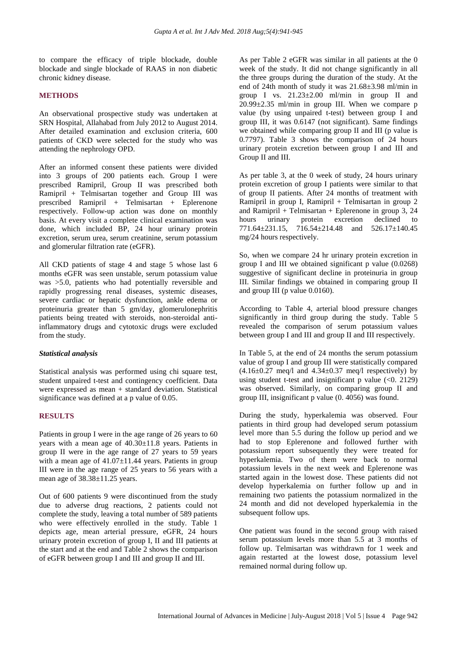to compare the efficacy of triple blockade, double blockade and single blockade of RAAS in non diabetic chronic kidney disease.

#### **METHODS**

An observational prospective study was undertaken at SRN Hospital, Allahabad from July 2012 to August 2014. After detailed examination and exclusion criteria, 600 patients of CKD were selected for the study who was attending the nephrology OPD.

After an informed consent these patients were divided into 3 groups of 200 patients each. Group I were prescribed Ramipril, Group II was prescribed both Ramipril + Telmisartan together and Group III was prescribed Ramipril + Telmisartan + Eplerenone respectively. Follow-up action was done on monthly basis. At every visit a complete clinical examination was done, which included BP, 24 hour urinary protein excretion, serum urea, serum creatinine, serum potassium and glomerular filtration rate (eGFR).

All CKD patients of stage 4 and stage 5 whose last 6 months eGFR was seen unstable, serum potassium value was >5.0, patients who had potentially reversible and rapidly progressing renal diseases, systemic diseases, severe cardiac or hepatic dysfunction, ankle edema or proteinuria greater than 5 gm/day, glomerulonephritis patients being treated with steroids, non-steroidal antiinflammatory drugs and cytotoxic drugs were excluded from the study.

#### *Statistical analysis*

Statistical analysis was performed using chi square test, student unpaired t-test and contingency coefficient. Data were expressed as mean + standard deviation. Statistical significance was defined at a p value of 0.05.

#### **RESULTS**

Patients in group I were in the age range of 26 years to 60 years with a mean age of 40.30±11.8 years. Patients in group II were in the age range of 27 years to 59 years with a mean age of  $41.07 \pm 11.44$  years. Patients in group III were in the age range of 25 years to 56 years with a mean age of 38.38±11.25 years.

Out of 600 patients 9 were discontinued from the study due to adverse drug reactions, 2 patients could not complete the study, leaving a total number of 589 patients who were effectively enrolled in the study. Table 1 depicts age, mean arterial pressure, eGFR, 24 hours urinary protein excretion of group I, II and III patients at the start and at the end and Table 2 shows the comparison of eGFR between group I and III and group II and III.

As per Table 2 eGFR was similar in all patients at the 0 week of the study. It did not change significantly in all the three groups during the duration of the study. At the end of 24th month of study it was 21.68±3.98 ml/min in group I vs.  $21.23 \pm 2.00$  ml/min in group II and 20.99±2.35 ml/min in group III. When we compare p value (by using unpaired t-test) between group I and group III, it was 0.6147 (not significant). Same findings we obtained while comparing group II and III (p value is 0.7797). Table 3 shows the comparison of 24 hours urinary protein excretion between group I and III and Group II and III.

As per table 3, at the 0 week of study, 24 hours urinary protein excretion of group I patients were similar to that of group II patients. After 24 months of treatment with Ramipril in group I, Ramipril + Telmisartan in group 2 and Ramipril + Telmisartan + Eplerenone in group  $3, 24$ hours urinary protein excretion declined to 771.64±231.15, 716.54±214.48 and 526.17±140.45 mg/24 hours respectively.

So, when we compare 24 hr urinary protein excretion in group I and III we obtained significant p value (0.0268) suggestive of significant decline in proteinuria in group III. Similar findings we obtained in comparing group II and group III (p value 0.0160).

According to Table 4, arterial blood pressure changes significantly in third group during the study. Table 5 revealed the comparison of serum potassium values between group I and III and group II and III respectively.

In Table 5, at the end of 24 months the serum potassium value of group I and group III were statistically compared  $(4.16\pm0.27 \text{ meq}/1 \text{ and } 4.34\pm0.37 \text{ meq}/1 \text{ respectively})$  by using student t-test and insignificant p value  $(< 0.2129)$ was observed. Similarly, on comparing group II and group III, insignificant p value (0. 4056) was found.

During the study, hyperkalemia was observed. Four patients in third group had developed serum potassium level more than 5.5 during the follow up period and we had to stop Eplerenone and followed further with potassium report subsequently they were treated for hyperkalemia. Two of them were back to normal potassium levels in the next week and Eplerenone was started again in the lowest dose. These patients did not develop hyperkalemia on further follow up and in remaining two patients the potassium normalized in the 24 month and did not developed hyperkalemia in the subsequent follow ups.

One patient was found in the second group with raised serum potassium levels more than 5.5 at 3 months of follow up. Telmisartan was withdrawn for 1 week and again restarted at the lowest dose, potassium level remained normal during follow up.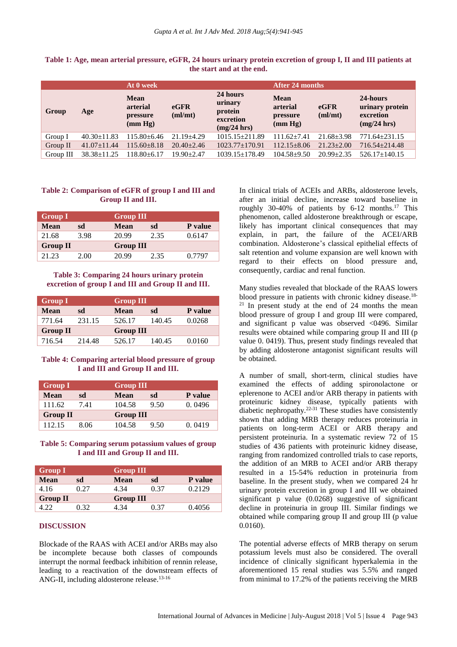| At 0 week |                   |                                                                      |                  | <b>After 24 months</b>                                     |                                                |                  |                                                           |
|-----------|-------------------|----------------------------------------------------------------------|------------------|------------------------------------------------------------|------------------------------------------------|------------------|-----------------------------------------------------------|
| Group     | Age               | <b>Mean</b><br>arterial<br>pressure<br>$(\mathbf{mm} \ \mathbf{Hg})$ | $e$ GFR<br>m/mt) | 24 hours<br>urinary<br>protein<br>excretion<br>(mg/24 hrs) | <b>Mean</b><br>arterial<br>pressure<br>(mm Hg) | eGFR<br>m/mt)    | 24-hours<br>urinary protein<br>excretion<br>$(mg/24$ hrs) |
| Group I   | $40.30 \pm 11.83$ | $115.80 \pm 6.46$                                                    | $21.19 \pm 4.29$ | $1015.15 \pm 211.89$                                       | $111.62 + 7.41$                                | $21.68 \pm 3.98$ | $771.64 \pm 231.15$                                       |
| Group II  | $41.07 \pm 11.44$ | $115.60 \pm 8.18$                                                    | $20.40 \pm 2.46$ | $1023.77 \pm 170.91$                                       | $112.15 \pm 8.06$                              | $21.23 \pm 2.00$ | 716.54±214.48                                             |
| Group III | $38.38 \pm 11.25$ | $18.80 \pm 6.17$                                                     | $19.90 \pm 2.47$ | $1039.15 + 178.49$                                         | $104.58 + 9.50$                                | $20.99 \pm 2.35$ | $526.17 \pm 140.15$                                       |

#### **Table 1: Age, mean arterial pressure, eGFR, 24 hours urinary protein excretion of group I, II and III patients at the start and at the end.**

#### **Table 2: Comparison of eGFR of group I and III and Group II and III.**

| <b>Group I</b>  |      |             | <b>Group III</b> |         |  |  |
|-----------------|------|-------------|------------------|---------|--|--|
| <b>Mean</b>     | sd   | <b>Mean</b> | sd               | P value |  |  |
| 21.68           | 3.98 | 20.99       | 2.35             | 0.6147  |  |  |
| <b>Group II</b> |      |             | <b>Group III</b> |         |  |  |
| 21.23           | 2.00 | 20.99       | 2.35             | 0.7797  |  |  |

**Table 3: Comparing 24 hours urinary protein excretion of group I and III and Group II and III.**

| <b>Group I</b>  |        | <b>Group III</b> |        |         |  |
|-----------------|--------|------------------|--------|---------|--|
| <b>Mean</b>     | sd     | <b>Mean</b>      | sd     | P value |  |
| 771.64          | 231.15 | 526.17           | 140.45 | 0.0268  |  |
| <b>Group II</b> |        | <b>Group III</b> |        |         |  |
| 716.54          | 214.48 | 526.17           | 140.45 | 0.0160  |  |

## **Table 4: Comparing arterial blood pressure of group I and III and Group II and III.**

| <b>Group I</b>  |      |        | <b>Group III</b> |         |  |  |
|-----------------|------|--------|------------------|---------|--|--|
| <b>Mean</b>     | sd   | Mean   | sd               | P value |  |  |
| 111.62          | 7.41 | 104.58 | 9.50             | 0.0496  |  |  |
| <b>Group II</b> |      |        | <b>Group III</b> |         |  |  |
| 112.15          | 8.06 | 104.58 | 9.50             | 0.0419  |  |  |

#### **Table 5: Comparing serum potassium values of group I and III and Group II and III.**

| <b>Group I</b>  |       | <b>Group III</b> |      |         |
|-----------------|-------|------------------|------|---------|
| <b>Mean</b>     | sd    | <b>Mean</b>      | sd   | P value |
| 4.16            | 0.27  | 4.34             | 0.37 | 0.2129  |
| <b>Group II</b> |       | <b>Group III</b> |      |         |
|                 | ) 32. | 4 34             | ∩ 37 | 0.4056  |

#### **DISCUSSION**

Blockade of the RAAS with ACEI and/or ARBs may also be incomplete because both classes of compounds interrupt the normal feedback inhibition of rennin release, leading to a reactivation of the downstream effects of ANG-II, including aldosterone release.<sup>13-16</sup>

In clinical trials of ACEIs and ARBs, aldosterone levels, after an initial decline, increase toward baseline in roughly 30-40% of patients by  $6-12$  months.<sup>17</sup> This phenomenon, called aldosterone breakthrough or escape, likely has important clinical consequences that may explain, in part, the failure of the ACEI/ARB combination. Aldosterone's classical epithelial effects of salt retention and volume expansion are well known with regard to their effects on blood pressure and, consequently, cardiac and renal function.

Many studies revealed that blockade of the RAAS lowers blood pressure in patients with chronic kidney disease.<sup>18-</sup>  $21$  In present study at the end of 24 months the mean blood pressure of group I and group III were compared, and significant p value was observed <0496. Similar results were obtained while comparing group II and III (p value 0. 0419). Thus, present study findings revealed that by adding aldosterone antagonist significant results will be obtained.

A number of small, short-term, clinical studies have examined the effects of adding spironolactone or eplerenone to ACEI and/or ARB therapy in patients with proteinuric kidney disease, typically patients with diabetic nephropathy.22-31 These studies have consistently shown that adding MRB therapy reduces proteinuria in patients on long-term ACEI or ARB therapy and persistent proteinuria. In a systematic review 72 of 15 studies of 436 patients with proteinuric kidney disease, ranging from randomized controlled trials to case reports, the addition of an MRB to ACEI and/or ARB therapy resulted in a 15-54% reduction in proteinuria from baseline. In the present study, when we compared 24 hr urinary protein excretion in group I and III we obtained significant p value (0.0268) suggestive of significant decline in proteinuria in group III. Similar findings we obtained while comparing group II and group III (p value 0.0160).

The potential adverse effects of MRB therapy on serum potassium levels must also be considered. The overall incidence of clinically significant hyperkalemia in the aforementioned 15 renal studies was 5.5% and ranged from minimal to 17.2% of the patients receiving the MRB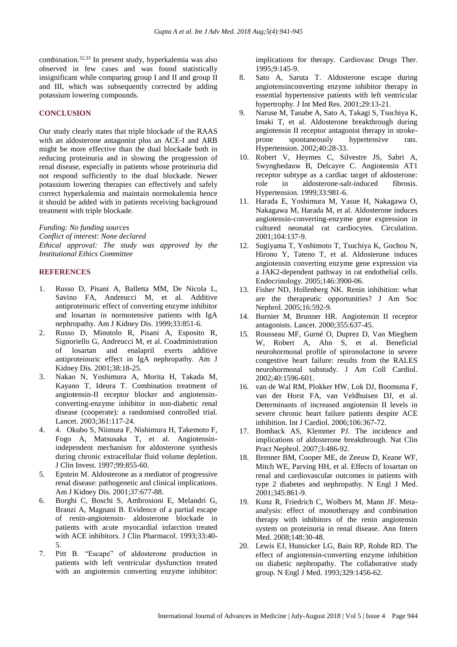combination.32,33 In present study, hyperkalemia was also observed in few cases and was found statistically insignificant while comparing group I and II and group II and III, which was subsequently corrected by adding potassium lowering compounds.

#### **CONCLUSION**

Our study clearly states that triple blockade of the RAAS with an aldosterone antagonist plus an ACE-I and ARB might be more effective than the dual blockade both in reducing proteinuria and in slowing the progression of renal disease, especially in patients whose proteinuria did not respond sufficiently to the dual blockade. Newer potassium lowering therapies can effectively and safely correct hyperkalemia and maintain normokalemia hence it should be added with in patients receiving background treatment with triple blockade.

*Funding: No funding sources Conflict of interest: None declared Ethical approval: The study was approved by the Institutional Ethics Committee*

#### **REFERENCES**

- 1. Russo D, Pisani A, Balletta MM, De Nicola L, Savino FA, Andreucci M, et al. Additive antiproteinuric effect of converting enzyme inhibitor and losartan in normotensive patients with IgA nephropathy. Am J Kidney Dis. 1999;33:851-6.
- 2. Russo D, Minutolo R, Pisani A, Esposito R, Signoriello G, Andreucci M, et al. Coadministration of losartan and enalapril exerts additive antiproteinuric effect in IgA nephropathy. Am J Kidney Dis. 2001;38:18-25.
- 3. Nakao N, Yoshimura A, Morita H, Takada M, Kayano T, Ideura T. Combination treatment of angiotensin-II receptor blocker and angiotensinconverting-enzyme inhibitor in non-diabetic renal disease (cooperate): a randomised controlled trial. Lancet. 2003;361:117-24.
- 4. 4. Okubo S, Niimura F, Nishimura H, Takemoto F, Fogo A, Matsusaka T, et al. Angiotensinindependent mechanism for aldosterone synthesis during chronic extracellular fluid volume depletion. J Clin Invest. 1997;99:855-60.
- 5. Epstein M. Aldosterone as a mediator of progressive renal disease: pathogenetic and clinical implications. Am J Kidney Dis. 2001;37:677-88.
- 6. Borghi C, Boschi S, Ambrosioni E, Melandri G, Branzi A, Magnani B. Evidence of a partial escape of renin-angiotensin- aldosterone blockade in patients with acute myocardial infarction treated with ACE inhibitors. J Clin Pharmacol. 1993;33:40- 5.
- 7. Pitt B. "Escape" of aldosterone production in patients with left ventricular dysfunction treated with an angiotensin converting enzyme inhibitor:

implications for therapy. Cardiovasc Drugs Ther. 1995;9:145-9.

- 8. Sato A, Saruta T. Aldosterone escape during angiotensinconverting enzyme inhibitor therapy in essential hypertensive patients with left ventricular hypertrophy. J Int Med Res. 2001;29:13-21.
- 9. Naruse M, Tanabe A, Sato A, Takagi S, Tsuchiya K, Imaki T, et al. Aldosterone breakthrough during angiotensin II receptor antagonist therapy in strokeprone spontaneously hypertensive rats. Hypertension. 2002;40:28-33.
- 10. Robert V, Heymes C, Silvestre JS, Sabri A, Swynghedauw B, Delcayre C. Angiotensin AT1 receptor subtype as a cardiac target of aldosterone: role in aldosterone-salt-induced fibrosis. Hypertension. 1999;33:981-6.
- 11. Harada E, Yoshimura M, Yasue H, Nakagawa O, Nakagawa M, Harada M, et al. Aldosterone induces angiotensin-converting-enzyme gene expression in cultured neonatal rat cardiocytes. Circulation. 2001;104:137-9.
- 12. Sugiyama T, Yoshimoto T, Tsuchiya K, Gochou N, Hirono Y, Tateno T, et al. Aldosterone induces angiotensin converting enzyme gene expression via a JAK2-dependent pathway in rat endothelial cells. Endocrinology. 2005;146:3900-06.
- 13. Fisher ND, Hollenberg NK. Renin inhibition: what are the therapeutic opportunities? J Am Soc Nephrol. 2005;16:592-9.
- 14. Burnier M, Brunner HR. Angiotensin II receptor antagonists. Lancet. 2000;355:637-45.
- 15. Rousseau MF, Gurné O, Duprez D, Van Mieghem W, Robert A, Ahn S, et al. Beneficial neurohormonal profile of spironolactone in severe congestive heart failure: results from the RALES neurohormonal substudy. J Am Coll Cardiol. 2002;40:1596-601.
- 16. van de Wal RM, Plokker HW, Lok DJ, Boomsma F, van der Horst FA, van Veldhuisen DJ, et al. Determinants of increased angiotensin II levels in severe chronic heart failure patients despite ACE inhibition. Int J Cardiol. 2006;106:367-72.
- 17. Bomback AS, Klemmer PJ. The incidence and implications of aldosterone breakthrough. Nat Clin Pract Nephrol. 2007;3:486-92.
- 18. Brenner BM, Cooper ME, de Zeeuw D, Keane WF, Mitch WE, Parving HH, et al. Effects of losartan on renal and cardiovascular outcomes in patients with type 2 diabetes and nephropathy. N Engl J Med. 2001;345:861-9.
- 19. Kunz R, Friedrich C, Wolbers M, Mann JF. Metaanalysis: effect of monotherapy and combination therapy with inhibitors of the renin angiotensin system on proteinuria in renal disease. Ann Intern Med. 2008;148:30-48.
- 20. Lewis EJ, Hunsicker LG, Bain RP, Rohde RD. The effect of angiotensin-converting enzyme inhibition on diabetic nephropathy. The collaborative study group. N Engl J Med. 1993;329:1456-62.